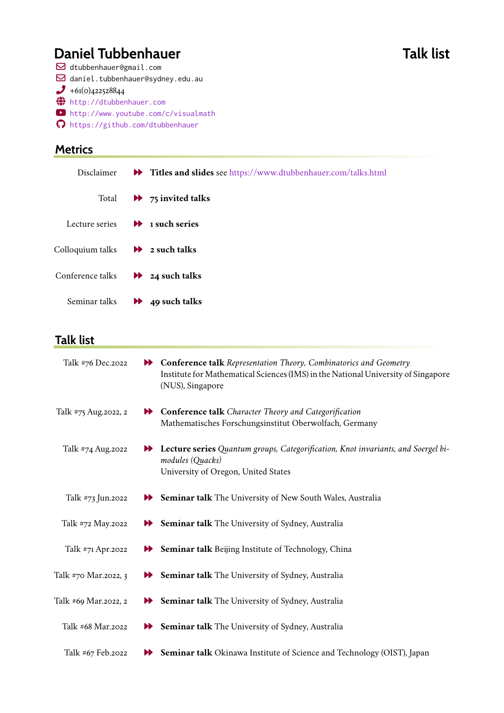# **Daniel Tubbenhauer Talk list**

 dtubbenhauer@gmail.com daniel.tubbenhauer@sydney.edu.au

- $+61(0)422528844$
- { <http://dtubbenhauer.com>
- ³ <http://www.youtube.com/c/visualmath>
- ¤ <https://github.com/dtubbenhauer>

#### **Metrics**

| Disclaimer                                 | Titles and slides see https://www.dtubbenhauer.com/talks.html |
|--------------------------------------------|---------------------------------------------------------------|
| Total                                      | $\rightarrow$ 75 invited talks                                |
| Lecture series $\rightarrow$ 1 such series |                                                               |
| Colloquium talks                           | $\rightarrow$ 2 such talks                                    |
| Conference talks                           | $\rightarrow$ 24 such talks                                   |
| Seminar talks                              | $\rightarrow$ 49 such talks                                   |

#### **Talk list**

| Talk #76 Dec.2022     |                       | <b>N</b> Conference talk Representation Theory, Combinatorics and Geometry<br>Institute for Mathematical Sciences (IMS) in the National University of Singapore<br>(NUS), Singapore |
|-----------------------|-----------------------|-------------------------------------------------------------------------------------------------------------------------------------------------------------------------------------|
| Talk #75 Aug. 2022, 2 |                       | <b>N</b> Conference talk Character Theory and Categorification<br>Mathematisches Forschungsinstitut Oberwolfach, Germany                                                            |
| Talk #74 Aug.2022     | $\blacktriangleright$ | Lecture series Quantum groups, Categorification, Knot invariants, and Soergel bi-<br>modules (Quacks)<br>University of Oregon, United States                                        |
| Talk #73 Jun.2022     |                       | Seminar talk The University of New South Wales, Australia                                                                                                                           |
| Talk #72 May.2022     |                       | Seminar talk The University of Sydney, Australia                                                                                                                                    |
| Talk #71 Apr.2022     |                       | Seminar talk Beijing Institute of Technology, China                                                                                                                                 |
| Talk #70 Mar.2022, 3  |                       | Seminar talk The University of Sydney, Australia                                                                                                                                    |
| Talk #69 Mar.2022, 2  | ÞÞ.                   | Seminar talk The University of Sydney, Australia                                                                                                                                    |
| Talk #68 Mar.2022     |                       | Seminar talk The University of Sydney, Australia                                                                                                                                    |
| Talk #67 Feb.2022     |                       | Seminar talk Okinawa Institute of Science and Technology (OIST), Japan                                                                                                              |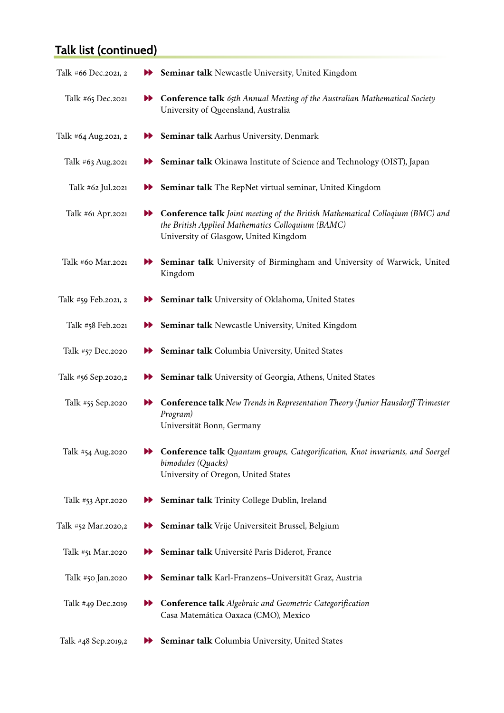| Talk #66 Dec.2021, 2 | $\blacktriangleright$ | <b>Seminar talk</b> Newcastle University, United Kingdom                                                                                                                           |
|----------------------|-----------------------|------------------------------------------------------------------------------------------------------------------------------------------------------------------------------------|
| Talk #65 Dec.2021    | $\blacktriangleright$ | Conference talk 65th Annual Meeting of the Australian Mathematical Society<br>University of Queensland, Australia                                                                  |
| Talk #64 Aug.2021, 2 | ÞÐ                    | <b>Seminar talk</b> Aarhus University, Denmark                                                                                                                                     |
| Talk #63 Aug.2021    | ÞÞ                    | <b>Seminar talk</b> Okinawa Institute of Science and Technology (OIST), Japan                                                                                                      |
| Talk #62 Jul.2021    | $\blacktriangleright$ | <b>Seminar talk</b> The RepNet virtual seminar, United Kingdom                                                                                                                     |
| Talk #61 Apr.2021    | $\blacktriangleright$ | <b>Conference talk</b> Joint meeting of the British Mathematical Colloqium (BMC) and<br>the British Applied Mathematics Colloquium (BAMC)<br>University of Glasgow, United Kingdom |
| Talk #60 Mar.2021    | ÞÞ                    | Seminar talk University of Birmingham and University of Warwick, United<br>Kingdom                                                                                                 |
| Talk #59 Feb.2021, 2 | ÞÐ                    | <b>Seminar talk</b> University of Oklahoma, United States                                                                                                                          |
| Talk #58 Feb.2021    | $\blacktriangleright$ | <b>Seminar talk Newcastle University, United Kingdom</b>                                                                                                                           |
| Talk #57 Dec.2020    | $\blacktriangleright$ | Seminar talk Columbia University, United States                                                                                                                                    |
| Talk #56 Sep.2020,2  | ÞÞ                    | Seminar talk University of Georgia, Athens, United States                                                                                                                          |
| Talk #55 Sep.2020    | $\blacktriangleright$ | <b>Conference talk</b> New Trends in Representation Theory (Junior Hausdorff Trimester<br>Program)<br>Universität Bonn, Germany                                                    |
| Talk #54 Aug.2020    | ÞÞ                    | Conference talk Quantum groups, Categorification, Knot invariants, and Soergel<br>bimodules (Quacks)<br>University of Oregon, United States                                        |
| Talk #53 Apr.2020    | ÞÞ                    | Seminar talk Trinity College Dublin, Ireland                                                                                                                                       |
| Talk #52 Mar.2020,2  | ÞÞ                    | Seminar talk Vrije Universiteit Brussel, Belgium                                                                                                                                   |
| Talk #51 Mar.2020    | ÞÞ                    | Seminar talk Université Paris Diderot, France                                                                                                                                      |
| Talk #50 Jan.2020    | ÞÞ                    | Seminar talk Karl-Franzens-Universität Graz, Austria                                                                                                                               |
| Talk #49 Dec.2019    | ÞÞ                    | <b>Conference talk</b> Algebraic and Geometric Categorification<br>Casa Matemática Oaxaca (CMO), Mexico                                                                            |
| Talk #48 Sep.2019,2  | ÞÞ                    | Seminar talk Columbia University, United States                                                                                                                                    |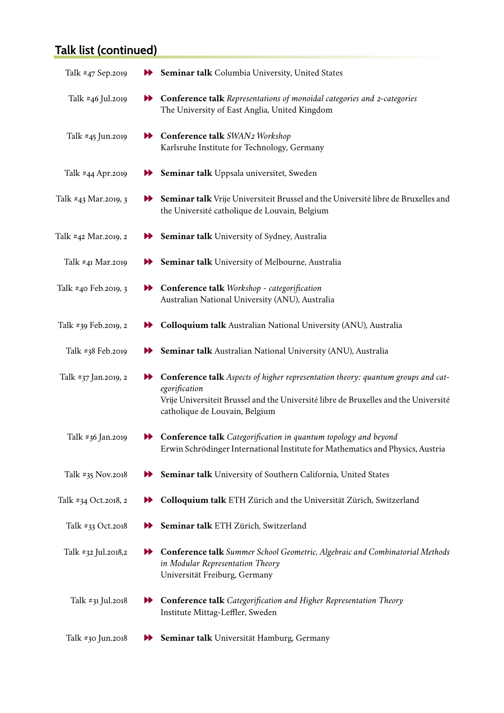| Talk #47 Sep.2019    |                       | Seminar talk Columbia University, United States                                                                                                                                                                            |
|----------------------|-----------------------|----------------------------------------------------------------------------------------------------------------------------------------------------------------------------------------------------------------------------|
| Talk #46 Jul.2019    | $\blacktriangleright$ | <b>Conference talk</b> Representations of monoidal categories and 2-categories<br>The University of East Anglia, United Kingdom                                                                                            |
| Talk #45 Jun.2019    |                       | <b>N</b> Conference talk SWAN2 Workshop<br>Karlsruhe Institute for Technology, Germany                                                                                                                                     |
| Talk #44 Apr.2019    | ÞÞ.                   | Seminar talk Uppsala universitet, Sweden                                                                                                                                                                                   |
| Talk #43 Mar.2019, 3 | ÞÞ                    | Seminar talk Vrije Universiteit Brussel and the Université libre de Bruxelles and<br>the Université catholique de Louvain, Belgium                                                                                         |
| Talk #42 Mar.2019, 2 | ÞÞ.                   | <b>Seminar talk</b> University of Sydney, Australia                                                                                                                                                                        |
| Talk #41 Mar.2019    | ÞÞ                    | Seminar talk University of Melbourne, Australia                                                                                                                                                                            |
| Talk #40 Feb.2019, 3 |                       | <b>N</b> Conference talk Workshop - categorification<br>Australian National University (ANU), Australia                                                                                                                    |
| Talk #39 Feb.2019, 2 | ÞÞ.                   | <b>Colloquium talk</b> Australian National University (ANU), Australia                                                                                                                                                     |
| Talk #38 Feb.2019    | ÞÞ.                   | Seminar talk Australian National University (ANU), Australia                                                                                                                                                               |
| Talk #37 Jan.2019, 2 | ÞÞ.                   | Conference talk Aspects of higher representation theory: quantum groups and cat-<br>egorification<br>Vrije Universiteit Brussel and the Université libre de Bruxelles and the Université<br>catholique de Louvain, Belgium |
| Talk #36 Jan.2019    | ÞÞ.                   | <b>Conference talk</b> Categorification in quantum topology and beyond<br>Erwin Schrödinger International Institute for Mathematics and Physics, Austria                                                                   |
| Talk #35 Nov.2018    | ÞÞ                    | Seminar talk University of Southern California, United States                                                                                                                                                              |
| Talk #34 Oct.2018, 2 |                       | Colloquium talk ETH Zürich and the Universität Zürich, Switzerland                                                                                                                                                         |
| Talk #33 Oct.2018    | ÞÞ                    | Seminar talk ETH Zürich, Switzerland                                                                                                                                                                                       |
| Talk #32 Jul.2018,2  | ÞÞ                    | <b>Conference talk</b> Summer School Geometric, Algebraic and Combinatorial Methods<br>in Modular Representation Theory<br>Universität Freiburg, Germany                                                                   |
| Talk #31 Jul.2018    | ÞÞ                    | <b>Conference talk</b> Categorification and Higher Representation Theory<br>Institute Mittag-Leffler, Sweden                                                                                                               |
| Talk #30 Jun.2018    | ÞÞ                    | Seminar talk Universität Hamburg, Germany                                                                                                                                                                                  |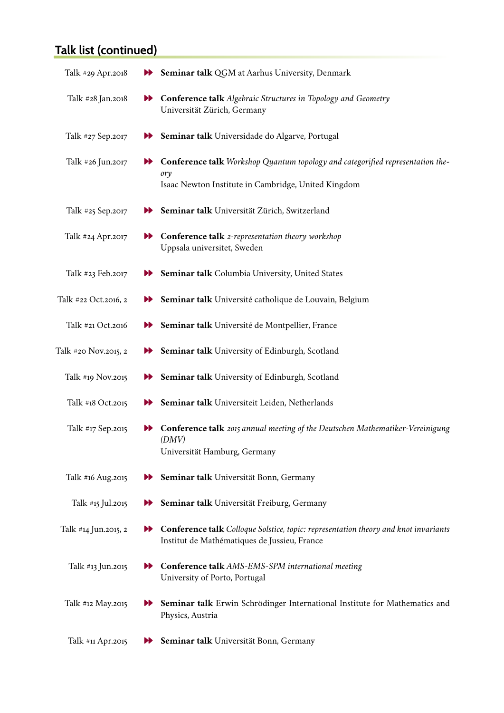| Talk #29 Apr.2018    | $\blacktriangleright$ | Seminar talk QGM at Aarhus University, Denmark                                                                                               |
|----------------------|-----------------------|----------------------------------------------------------------------------------------------------------------------------------------------|
| Talk #28 Jan.2018    | $\blacktriangleright$ | <b>Conference talk</b> Algebraic Structures in Topology and Geometry<br>Universität Zürich, Germany                                          |
| Talk #27 Sep.2017    | ÞÞ.                   | Seminar talk Universidade do Algarve, Portugal                                                                                               |
| Talk #26 Jun.2017    |                       | Conference talk Workshop Quantum topology and categorified representation the-<br>ory<br>Isaac Newton Institute in Cambridge, United Kingdom |
| Talk #25 Sep.2017    |                       | Seminar talk Universität Zürich, Switzerland                                                                                                 |
| Talk #24 Apr.2017    |                       | Conference talk 2-representation theory workshop<br>Uppsala universitet, Sweden                                                              |
| Talk #23 Feb.2017    |                       | Seminar talk Columbia University, United States                                                                                              |
| Talk #22 Oct.2016, 2 | $\blacktriangleright$ | Seminar talk Université catholique de Louvain, Belgium                                                                                       |
| Talk #21 Oct.2016    |                       | <b>Deminar talk</b> Université de Montpellier, France                                                                                        |
| Talk #20 Nov.2015, 2 |                       | <b>Seminar talk</b> University of Edinburgh, Scotland                                                                                        |
| Talk #19 Nov.2015    | ÞÞ                    | Seminar talk University of Edinburgh, Scotland                                                                                               |
| Talk #18 Oct.2015    |                       | Seminar talk Universiteit Leiden, Netherlands                                                                                                |
| Talk #17 Sep.2015    |                       | Conference talk 2015 annual meeting of the Deutschen Mathematiker-Vereinigung<br>(DMV)<br>Universität Hamburg, Germany                       |
| Talk #16 Aug.2015    | ÞÞ                    | Seminar talk Universität Bonn, Germany                                                                                                       |
| Talk #15 Jul.2015    | ÞÐ                    | Seminar talk Universität Freiburg, Germany                                                                                                   |
| Talk #14 Jun.2015, 2 |                       | <b>Conference talk</b> Colloque Solstice, topic: representation theory and knot invariants<br>Institut de Mathématiques de Jussieu, France   |
| Talk #13 Jun.2015    |                       | <b>Conference talk</b> AMS-EMS-SPM international meeting<br>University of Porto, Portugal                                                    |
| Talk #12 May.2015    | ÞÞ.                   | Seminar talk Erwin Schrödinger International Institute for Mathematics and<br>Physics, Austria                                               |
| Talk #11 Apr.2015    | ÞÞ.                   | Seminar talk Universität Bonn, Germany                                                                                                       |